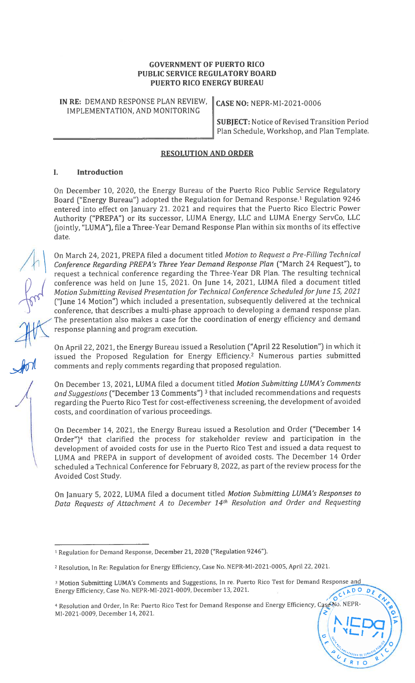## GOVERNMENT OF PUERTO RICO PUBLIC SERVICE REGULATORY BOARD PUERTO RICO ENERGY BUREAU

IN RE: DEMAND RESPONSE PLAN REVIEW,  $\|$  CASE NO: NEPR-MI-2021-0006 IMPLEMENTATION, AND MONITORING

SUBJECT: Notice of Revised Transition Period Plan Schedule, Workshop, and Plan Template.

# RESOLUTiON AND ORDER

## I. Introduction

On December 10, 2020, the Energy Bureau of the Puerto Rico Public Service Regulatory Board ("Energy Bureau") adopted the Regulation for Demand Response.1 Regulation 9246 entered into effect on January 21. 2021 and requires that the Puerto Rico Electric Power Authority ("PREPA") or its successor, LUMA Energy, LLC and LUMA Energy ServCo, LLC (jointly, "LUMA"), file a Three-Year Demand Response Plan within six months of its effective

date.<br>On March 24, 2021, PREPA filed a document titled *Motion to Request a Pre-Filling Technical* Conference Regarding PREPA's Three Year Demand Response Plan ("March 24 Request"), to request a technical conference regarding the Three-Year DR Plan. The resulting technical conference was held on June 15, 2021. On June 14, 2021, LUMA filed a document titled Motion Submitting Revised Presentation for Technical Conference Scheduled for June 15, 2021 ("June 14 Motion") which included a presentation, subsequently delivered at the technical conference, that describes a multi-phase approach to developing a demand response plan. The presentation also makes a case for the coordination of energy efficiency and demand response planning and program execution.

On April 22, 2021, the Energy Bureau issued a Resolution ("April 22 Resolution") in which it issued the Proposed Regulation for Energy Efficiency.2 Numerous parties submitted comments and reply comments regarding that proposed regulation.

On December 13, 2021, LUMA filed a document titled Motion Submitting LUMA's Comments and Suggestions ("December 13 Comments")<sup>3</sup> that included recommendations and requests regarding the Puerto Rico Test for cost-effectiveness screening, the development of avoided costs, and coordination of various proceedings.

On December 14, 2021, the Energy Bureau issued a Resolution and Order ("December 14 Order")4 that clarified the process for stakeholder review and participation in the development of avoided costs for use in the Puerto Rico Test and issued a data request to LUMA and PREPA in support of development of avoided costs. The December 14 Order scheduled <sup>a</sup> Technical Conference for February 8, 2022, as part of the review process for the Avoided Cost Study.

On January 5, 2022, LUMA filed a document titled Motion Submitting LUMA's Responses to Data Requests of Attachment <sup>A</sup> to December 14th Resolution and Order and Requesting

4 Resolution and Order, In Re: Puerto Rico Test for Demand Response and Energy Efficiency, Case No. NEPR MI-2021-0009, December 14, 2021.

 $\mathcal{A}$ 

<sup>&</sup>lt;sup>1</sup> Regulation for Demand Response, December 21, 2020 ("Regulation 9246").

<sup>2</sup> Resolution, In Re: Regulation for Energy Efficiency, Case No. NEPR-Ml-2021-000S, April 22, 2021.

<sup>&</sup>lt;sup>3</sup> Motion Submitting LUMA's Comments and Suggestions, In re. Puerto Rico Test for Demand Response and Energy Efficiency, Case No. NEPR-MI-2021-0009, December 13, 2021. Energy Efficiency, Case No. NEPR-MI-2021-0009, December 13, 2021.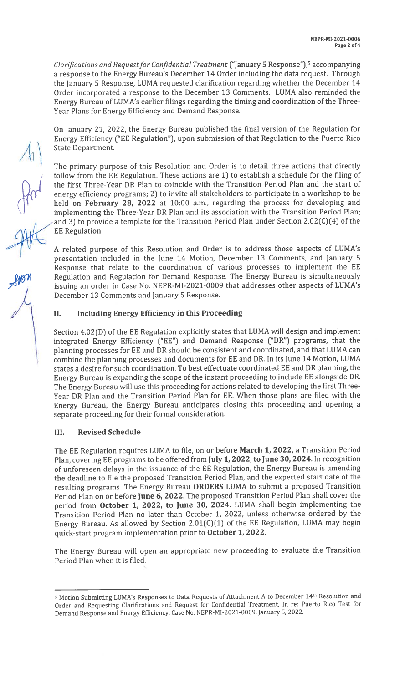Clarifications and Request for Confidential Treatment ("January 5 Response"),<sup>5</sup> accompanying a response to the Energy Bureau's December 14 Order including the data request. Through the January <sup>5</sup> Response, LUMA requested clarification regarding whether the December 14 Order incorporated a response to the December 13 Comments. LUMA also reminded the Energy Bureau of LUMA's earlier filings regarding the timing and coordination of the Three-Year Plans for Energy Efficiency and Demand Response.

On January 21, 2022, the Energy Bureau published the final version of the Regulation for Energy Efficiency ("EE Regulation"), upon submission of that Regulation to the Puerto Rico State Department.

The primary purpose of this Resolution and Order is to detail three actions that directly follow from the EE Regulation. These actions are 1) to establish a schedule for the filing of the first Three-Year DR Plan to coincide with the Transition Period Plan and the start of energy efficiency programs; 2) to invite all stakeholders to participate in a workshop to be held on February 28, 2022 at 10:00 a.m., regarding the process for developing and implementing the Three-Year DR Plan and its association with the Transition Period Plan; and 3) to provide a template for the Transition Period Plan under Section 2.02(C)(4) of the EE Regulation.

<sup>A</sup> related purpose of this Resolution and Order is to address those aspects of LUMA's presentation included in the June 14 Motion, December 13 Comments, and January <sup>5</sup> Response that relate to the coordination of various processes to implement the EE Regulation and Regulation for Demand Response. The Energy Bureau is simultaneously issuing an order in Case No. NEPR-MI-2021-0009 that addresses other aspects of LUMA's December 13 Comments and January 5 Response.<br>
II. Including Energy Efficiency in this Proceeding

Section 4.02(D) of the EE Regulation explicitly states that LUMA will design and implement integrated Energy Efficiency ("EE") and Demand Response ("DR") programs, that the planning processes for EE and DR should be consistent and coordinated, and that LUMA can combine the planning processes and documents for EE and DR. In its June 14 Motion, LUMA states a desire for such coordination. To best effectuate coordinated EE and DR planning, the Energy Bureau is expanding the scope of the instant proceeding to include EE alongside DR. The Energy Bureau will use this proceeding for actions related to developing the first Three-Year DR Plan and the Transition Period Plan for EE. When those plans are filed with the Energy Bureau, the Energy Bureau anticipates closing this proceeding and opening a separate proceeding for their formal consideration.

## III. Revised Schedule

The EE Regulation requires LUMA to file, on or before March 1, 2022, <sup>a</sup> Transition Period Plan, covering EE programs to be offered from July 1, 2022, to June 30, 2024. In recognition of unforeseen delays in the issuance of the EE Regulation, the Energy Bureau is amending the deadline to file the proposed Transition Period Plan, and the expected start date of the resulting programs. The Energy Bureau ORDERS LUMA to submit <sup>a</sup> proposed Transition Period Plan on or before June 6, 2022. The proposed Transition Period Plan shall cover the period from October 1, 2022, to June 30, 2024. LUMA shall begin implementing the Transition Period Plan no later than October 1, 2022, unless otherwise ordered by the Energy Bureau. As allowed by Section 2.01(C)(1) of the EE Regulation, LUMA may begin quick-start program implementation prior to October 1, 2022.

The Energy Bureau will open an appropriate new proceeding to evaluate the Transition Period Plan when it is filed.

 $\overline{5}$  Motion Submitting LUMA's Responses to Data Requests of Attachment A to December 14th Resolution and Order and Requesting Clarifications and Request for Confidential Treatment, In re: Puerto Rico Test for Demand Response and Energy Efficiency, Case No. NEPR-Ml-2021-0009, January 5, 2022.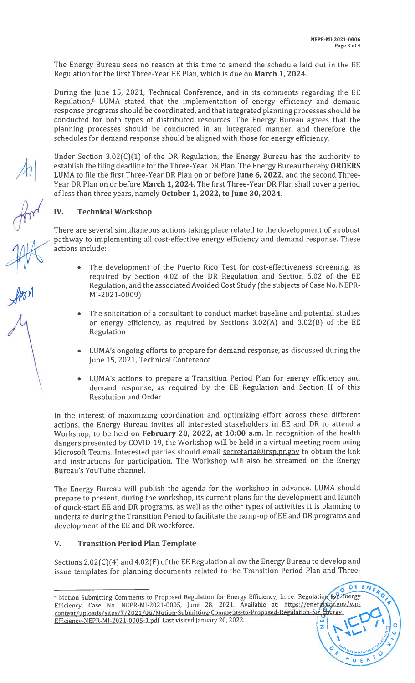DE ENE

Ŕ U.E.

The Energy Bureau sees no reason at this time to amend the schedule laid out in the EE Regulation for the first Three-Year EE Plan, which is due on March 1, 2024.

During the June 15, 2021, Technical Conference, and in its comments regarding the EE Regulation,<sup>6</sup> LUMA stated that the implementation of energy efficiency and demand response programs should be coordinated, and that integrated planning processes should be conducted for both types of distributed resources. The Energy Bureau agrees that the planning processes should be conducted in an integrated manner, and therefore the schedules for demand response should be aligned with those for energy efficiency.

Under Section 3.02 $(C)(1)$  of the DR Regulation, the Energy Bureau has the authority to establish the filing deadline for the Three-Year DR Plan. The Energy Bureau thereby ORDERS LUMA to file the first Three-Year DR Plan on or before June 6, 2022, and the second Three-Year DR Plan on or before March 1, 2024. The first Three-Year DR Plan shall cover a period of less than three years, namely October 1, 2022, to June 30, 2024.

IV. Technical Workshop

There are several simultaneous actions taking place related to the development of a robust pathway to implementing all cost-effective energy efficiency and demand response. These actions include:

- The development of the Puerto Rico Test for cost-effectiveness screening, as required by Section 4.02 of the DR Regulation and Section 5.02 of the EE Regulation, and the associated Avoided Cost Study (the subjects of Case No. NEPR MI-2021-0009)
- The solicitation of a consultant to conduct market baseline and potential studies or energy efficiency, as required by Sections 3.02(A) and 3.02(B) of the EE Regulation
- LUMA's ongoing efforts to prepare for demand response, as discussed during the June 15, 2021, Technical Conference
- LUMA's actions to prepare a Transition Period Plan for energy efficiency and demand response, as required by the EE Regulation and Section II of this Resolution and Order

In the interest of maximizing coordination and optimizing effort across these different actions, the Energy Bureau invites all interested stakeholders in EE and DR to attend <sup>a</sup> Workshop, to be held on February 28, 2022, at 10:00 a.m. In recognition of the health dangers presented by COVID-19, the Workshop will be held in a virtual meeting room using Microsoft Teams. Interested parties should email secretaria@irsp.pr.gov to obtain the link and instructions for participation. The Workshop will also be streamed on the Energy Bureau's YouTube channel.

The Energy Bureau will publish the agenda for the workshop in advance. LUMA should prepare to present, during the workshop, its current plans for the development and launch of quick-start EE and DR programs, as well as the other types of activities it is planning to undertake during the Transition Period to facilitate the ramp-up of EE and DR programs and development of the EE and DR workforce.

# V. Transition Period Plan Template

Sections 2.02(C)(4) and 4.02(F) of the EE Regulation allow the Energy Bureau to develop and issue templates for planning documents related to the Transition Period Plan and Three

<sup>&</sup>lt;sup>6</sup> Motion Submitting Comments to Proposed Regulation for Energy Efficiency, In re: Regulation for Energy Efficiency, Case No. NEPR-MI-2021-0005, June 28, 2021. Available at: https://energia.pr.gov/wpcontent/uploads/sites/7/2021/06/Motion-Submitting-Comments-to-Proposed-Regulation-for-Epergy Efficiencv-NEPR-Ml-2021-0005-1.pdf. Last visited January 20, 2022.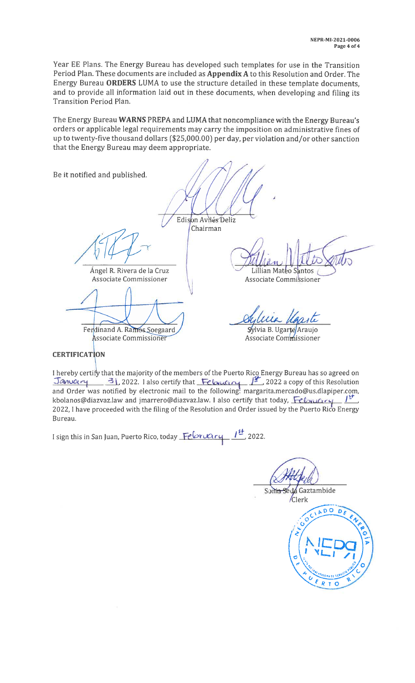Year EE Plans. The Energy Bureau has developed such templates for use in the Transition Period Plan. These documents are included as Appendix <sup>A</sup> to this Resolution and Order. The Energy Bureau ORDERS LLJMA to use the structure detailed in these template documents, and to provide all information laid out in these documents, when developing and filing its Transition Period Plan.

The Energy Bureau WARNS PREPA and LUMA that noncompliance with the Energy Bureau's orders or applicable legal requirements may carry the imposition on administrative fines of up to twenty-five thousand dollars (\$25,000.00) per day, per violation and/or other sanction that the Energy Bureau may deem appropriate.

Be it notified and published.

Edison Avilés Deliz

Chairman

Associate Commissioner **Associate Commissioner** Associate Commissioner

Ferdinand A. Ramos Soegaard

**Associate Commissioner** 

Angel R. Rivera de la Cruz Lillian Mateo Santos

Sylvia Ugaste

Sylvia B. Ugarte Araujo Associate Commissioner

**CERTIFICATION** 

I hereby certify that the majority of the members of the Puerto Rico Energy Bureau has so agreed on Thereby certify that the majority of the members of the Puerto Rico Energy Bureau has so agreed on<br>**January 31, 2022.** I also certify that **Feloncial Property 2022** a copy of this Resolution and Order was notified by electronic mail to the following: margarita.mercado@us.dlapiper.com, kbolanos@diazvaz.law and jmarrero@diazvaz.law. I also certify that today,  $\frac{\partial \psi}{\partial x}$ 2022, <sup>1</sup> have proceeded with the filing of the Resolution and Order issued by the Puerto Rico Energy Bureau.

I sign this in San Juan, Puerto Rico, today February  $I<sup>st</sup>$  2022.

Sonia Seda Gaztambide /Clerk

CIADODE

 $R$  T  $\circ$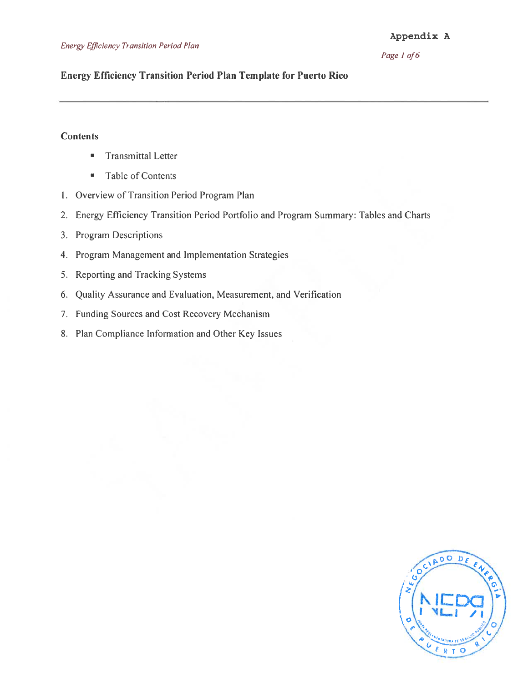## Page 1 of 6

## Energy Efficiency Transition Period Plan Template for Puerto Rico

## **Contents**

- **•** Transmittal Letter
- Table of Contents
- I. Overview of Transition Period Program Plan
- 2. Energy Efficiency Transition Period Portfolio and Program Summary: Tables and Charts
- 3. Program Descriptions
- 4. Program Management and Implementation Strategies
- 5. Reporting and Tracking Systems
- 6. Quality Assurance and Evaluation, Measurement, and Verification
- 7. Funding Sources and Cost Recovery Mechanism
- 8. Plan Compliance Information and Other Key Issues

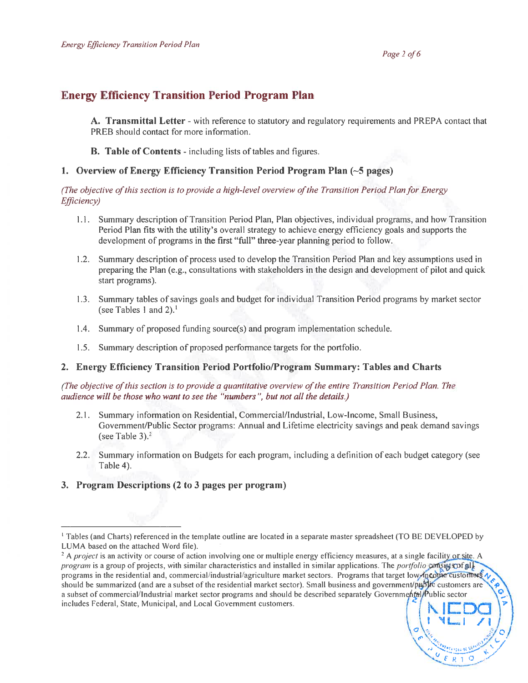# Energy Efficiency Transition Period Program Plan

A. Transmittal Letter - with reference to statutory and regulatory requirements and PREPA contact that PREB should contact for more information.

B. Table of Contents - including lists of tables and figures.

## 1. Overview of Energy Efficiency Transition Period Program Plan  $(-5$  pages)

(The objective of this section is to provide a high-level overview of the Transition Period Plan for Energy Efficiency)

- 1.1. Summary description of Transition Period Plan, Plan objectives, individual programs, and how Transition Period Plan fits with the utility's overall strategy to achieve energy efficiency goals and supports the development of programs in the first "full" three-year planning period to follow.
- 1.2. Summary description of process used to develop the Transition Period Plan and key assumptions used in preparing the Plan (e.g., consultations with stakeholders in the design and development of pilot and quick start programs).
- 1.3. Summary tables of savings goals and budget for individual Transition Period programs by market sector (see Tables 1 and 2).<sup>1</sup>
- 1.4. Summary of proposed funding source(s) and program implementation schedule.
- 1.5. Summary description of proposed performance targets for the portfolio.

### 2. Energy Efficiency Transition Period Portfolio/Program Summary: Tables and Charts

(The objective of this section is to provide a quantitative overview of the entire Transition Period Plan. The audience will be those who want to see the "numbers ", but not all the details.)

- 2.1. Summary information on Residential, Commercial/Industrial, Low-Income, Small Business, Government/Public Sector programs: Annual and Lifetime electricity savings and peak demand savings (see Table 3). $2$
- 2.2. Summary information on Budgets for each program, including a definition of each budget category (see Table 4).

## 3. Program Descriptions (2 to 3 pages per program)

<sup>&</sup>lt;sup>1</sup> Tables (and Charts) referenced in the template outline are located in a separate master spreadsheet (TO BE DEVELOPED by LUMA based on the attached Word file).

 $2A$  *project* is an activity or course of action involving one or multiple energy efficiency measures, at a single facility or site. A program is a group of projects, with similar characteristics and installed in similar applications. The *portfolio* consists of all programs in the residential and, commercial/industrial/agriculture market sectors. Programs that target low, incoure customers  $\sqrt{ }$ should be summarized (and are a subset of the residential market sector). Small business and government/public customers are a subset of commercial/Industrial market sector programs and should be described separately Governmental Public sector includes Federal, State, Municipal, and Local Government customers. <sup>I</sup> C DC '1LJ /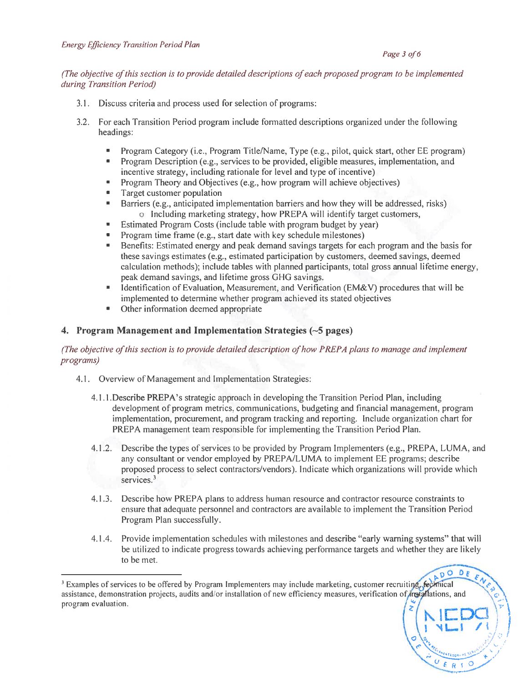#### Page 3 of 6

 $\left(\begin{array}{c} \right) \ \end{array}$ 

ADO

 $D_{\epsilon}$ Þ

 $\begin{array}{c}\n\therefore \\
U & E & R & D\n\end{array}$ 

k

### (The objective ofthis section is to provide detailed descriptions ofeach proposed program to be implemented during Transition Period)

- 3.1. Discuss criteria and process used for selection of programs:
- 3.2. For each Transition Period program include formatted descriptions organized under the following headings:
	- Program Category (i.e., Program Title/Name, Type (e.g., pilot, quick start, other EE program)
	- Program Description (e.g., services to be provided, eligible measures, implementation, and incentive strategy, including rationale for level and type of incentive)
	- Program Theory and Objectives (e.g., how program will achieve objectives)
	- Target customer population
	- Barriers (e.g., anticipated implementation barriers and how they will be addressed, risks) o Including marketing strategy, how PREPA will identify target customers,
	- Estimated Program Costs (include table with program budget by year)
	- Program time frame (e.g., start date with key schedule milestones)
	- Benefits: Estimated energy and peak demand savings targets for each program and the basis for these savings estimates (e.g., estimated participation by customers, deemed savings, deemed calculation methods); include tables with planned participants, total gross annual lifetime energy, peak demand savings, and lifetime gross GHG savings.
	- Identification of Evaluation, Measurement, and Verification (EM&V) procedures that will be implemented to determine whether program achieved its stated objectives
	- Other information deemed appropriate

## 4. Program Management and Implementation Strategies  $(-5$  pages)

## (The objective ofthis section is to provide detailed description ofhow PREPA plans to manage and implement programs)

- 4.1. Overview of Management and Implementation Strategies:
	- 4. <sup>1</sup> . <sup>I</sup> .Describe PREPA's strategic approach in developing the Transition Period Plan, including development of program metrics, communications, budgeting and financial management, program implementation, procurement, and program tracking and reporting. Include organization chart for PREPA management team responsible for implementing the Transition Period Plan.
	- 4.1 .2. Describe the types of services to be provided by Program Implementers (e.g., PREPA, LUMA, and any consultant or vendor employed by PREPA/LUMA to implement EE programs; describe proposed process to select contractors/vendors). Indicate which organizations will provide which services.<sup>3</sup>
	- 4.1.3. Describe how PREPA plans to address human resource and contractor resource constraints to ensure that adequate personnel and contractors are available to implement the Transition Period Program Plan successfully.
	- 4.1 .4. Provide implementation schedules with milestones and describe "early warning systems" that will be utilized to indicate progress towards achieving performance targets and whether they are likely to be met.

<sup>&</sup>lt;sup>3</sup> Examples of services to be offered by Program Implementers may include marketing, customer recruiting, fectmical assistance, demonstration projects, audits and/or installation of new efficiency measures, verification of,*installations*, and program evaluation.  $\binom{2}{k}$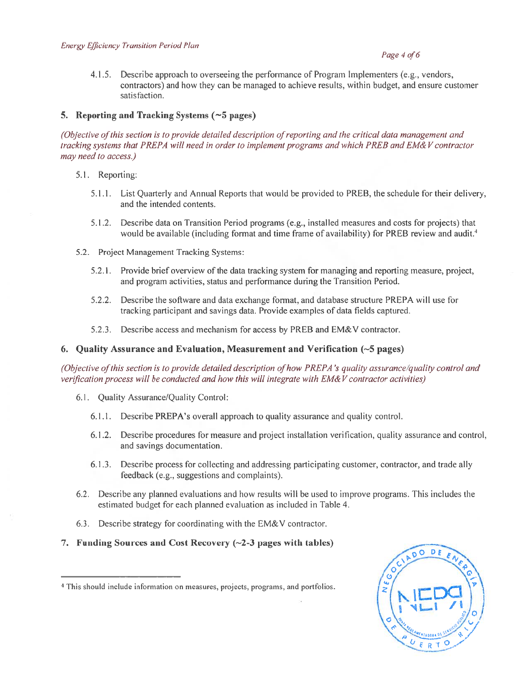#### Page 4 of 6

4.1 .5. Describe approach to overseeing the performance of Program Implementers (e.g., vendors, contractors) and how they can be managed to achieve results, within budget, and ensure customer satisfaction.

## 5. Reporting and Tracking Systems  $(5)$  pages)

(Objective ofthis section is to provide detailed description ofreporting and the critical data management and tracking systems that PREPA will need in order to implement programs and which PREB and EM& V contractor may need to access.)

- 5.1. Reporting:
	- 5.1.1. List Quarterly and Annual Reports that would be provided to PREB, the schedule for their delivery, and the intended contents.
	- 5.1.2. Describe data on Transition Period programs (e.g., installed measures and costs for projects) that would be available (including format and time frame of availability) for PREB review and audit.<sup>4</sup>
- 5.2. Project Management Tracking Systems:
	- 5.2.1. Provide brief overview of the data tracking system for managing and reporting measure, project, and program activities, status and performance during the Transition Period.
	- 5.2.2. Describe the software and data exchange format, and database structure PREPA will use for tracking participant and savings data. Provide examples of data fields captured.
	- 5.2.3. Describe access and mechanism for access by PREB and EM&V contractor.

### 6. Quality Assurance and Evaluation, Measurement and Verification (—5 pages)

(Objective of this section is to provide detailed description of how PREPA's quality assurance/quality control and verification process will be conducted and how this will integrate with EM&V contractor activities)

- 6.1. Quality Assurance/Quality Control:
	- 6.1.1. Describe PREPA's overall approach to quality assurance and quality control.
	- 6.1 .2. Describe procedures for measure and project installation verification, quality assurance and control, and savings documentation.
	- 6.1 .3. Describe process for collecting and addressing participating customer, contractor, and trade ally feedback (e.g., suggestions and complaints).
- 6.2. Describe any planned evaluations and how results will be used to improve programs. This includes the estimated budget for each planned evaluation as included in Table 4.
- 6.3. Describe strategy for coordinating with the EM&V contractor.
- 7. Funding Sources and Cost Recovery  $(\sim 2-3)$  pages with tables)

<sup>&</sup>lt;sup>4</sup> This should include information on measures, projects, programs, and portfolios.

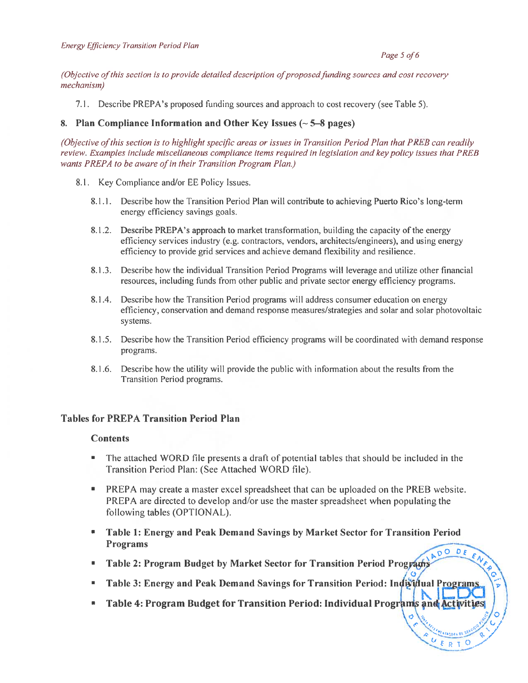#### Page 5 of 6

EN

UERT

(Objective of this section is to provide detailed description of proposed funding sources and cost recovery mechanism)

7.1. Describe PREPA's proposed funding sources and approach to cost recovery (see Table 5).

#### 8. Plan Compliance Information and Other Key Issues  $(-5-8)$  pages)

(Objective of this section is to highlight specific areas or issues in Transition Period Plan that PREB can readily review. Examples include miscellaneous compliance items required in legislation and key policy issues that PREB wants PREPA to be aware of in their Transition Program Plan.)

- 8.1. Key Compliance and/or EE Policy Issues.
	- 8.1 .1. Describe how the Transition Period Plan will contribute to achieving Puerto Rico's long-term energy efficiency savings goals.
	- 8.1 .2. Describe PREPA's approach to market transformation, building the capacity of the energy efficiency services industry (e.g. contractors, vendors, architects/engineers), and using energy efficiency to provide grid services and achieve demand flexibility and resilience.
	- 8.1 .3. Describe how the individual Transition Period Programs will leverage and utilize other financial resources, including funds from other public and private sector energy efficiency programs.
	- 8.1.4. Describe how the Transition Period programs will address consumer education on energy efficiency, conservation and demand response measures/strategies and solar and solar photovoltaic systems.
	- 8.1 .5. Describe how the Transition Period efficiency programs will be coordinated with demand response programs.
	- 8. <sup>1</sup> .6. Describe how the utility will provide the public with information about the results from the Transition Period programs.

#### Tables for PREPA Transition Period Plan

#### **Contents**

- The attached WORD file presents a draft of potential tables that should be included in the Transition Period Plan: (See Attached WORD file).
- PREPA may create a master excel spreadsheet that can be uploaded on the PREB website. PREPA are directed to develop and/or use the master spreadsheet when populating the following tables (OPTIONAL).
- Table 1: Energy and Peak Demand Savings by Market Sector for Transition Period Programs  $0<sup>o</sup>$ DE
- Table 2: Program Budget by Market Sector for Transition Period Program
- **Table 3: Energy and Peak Demand Savings for Transition Period: Individual Programs**
- Table 4: Program Budget for Transition Period: Individual Programs and Activities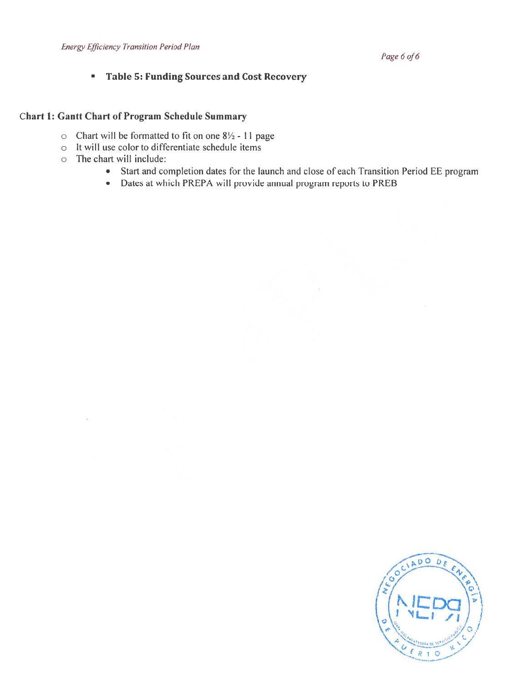# **Table 5: Funding Sources and Cost Recovery**

# Chart 1: Gantt Chart of Program Schedule Summary

- $\circ$  Chart will be formatted to fit on one 8 $\frac{1}{2}$  11 page
- o It will use color to differentiate schedule items
- o The chart will include:
	- Start and completion dates for the launch and close of each Transition Period EE program
	- Dates at which PREPA will provide annual program reports to PREB

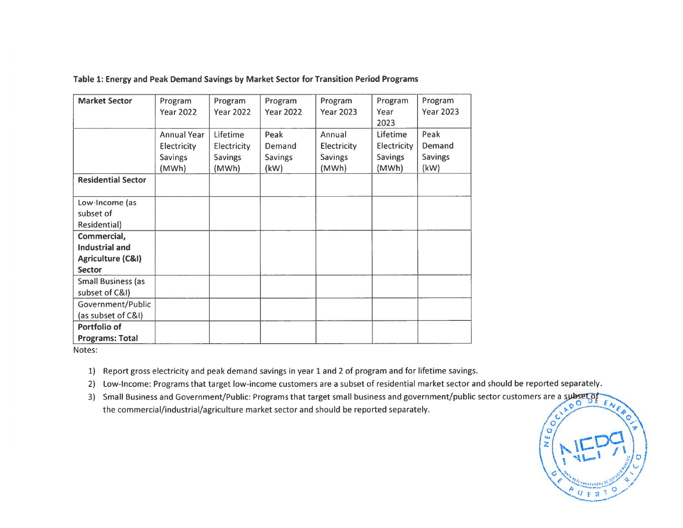| <b>Market Sector</b>         | Program            | Program          | Program          | Program          | Program         | Program          |
|------------------------------|--------------------|------------------|------------------|------------------|-----------------|------------------|
|                              | <b>Year 2022</b>   | <b>Year 2022</b> | <b>Year 2022</b> | <b>Year 2023</b> | Year            | <b>Year 2023</b> |
|                              |                    |                  |                  |                  | 2023            |                  |
|                              | <b>Annual Year</b> | <b>Lifetime</b>  | Peak             | Annual           | <b>Lifetime</b> | Peak             |
|                              | Electricity        | Electricity      | Demand           | Electricity      | Electricity     | Demand           |
|                              | <b>Savings</b>     | <b>Savings</b>   | <b>Savings</b>   | <b>Savings</b>   | <b>Savings</b>  | <b>Savings</b>   |
|                              | (MWh)              | (MWh)            | (kW)             | (MWh)            | (MWh)           | (kW)             |
| <b>Residential Sector</b>    |                    |                  |                  |                  |                 |                  |
|                              |                    |                  |                  |                  |                 |                  |
| Low-Income (as               |                    |                  |                  |                  |                 |                  |
| subset of                    |                    |                  |                  |                  |                 |                  |
| Residential)                 |                    |                  |                  |                  |                 |                  |
| Commercial,                  |                    |                  |                  |                  |                 |                  |
| <b>Industrial and</b>        |                    |                  |                  |                  |                 |                  |
| <b>Agriculture (C&amp;I)</b> |                    |                  |                  |                  |                 |                  |
| <b>Sector</b>                |                    |                  |                  |                  |                 |                  |
| <b>Small Business (as</b>    |                    |                  |                  |                  |                 |                  |
| subset of C&I)               |                    |                  |                  |                  |                 |                  |
| Government/Public            |                    |                  |                  |                  |                 |                  |
| (as subset of C&I)           |                    |                  |                  |                  |                 |                  |
| Portfolio of                 |                    |                  |                  |                  |                 |                  |
| <b>Programs: Total</b>       |                    |                  |                  |                  |                 |                  |

#### Table 1: Energy and Peak Demand Savings by Market Sector for Transition Period Programs

Notes:

1) Report gross electricity and peak demand savings in year 1 and 2 of program and for lifetime savings.

2) Low-Income: Programs that target low-income customers are <sup>a</sup> subset of residential market sector and should be reported separately.

3) Small Business and Government/Public: Programs that target small business and government/public sector customers are a subset of the commercial/industrial/agriculture market sector and should be reported separately.

**NEGO**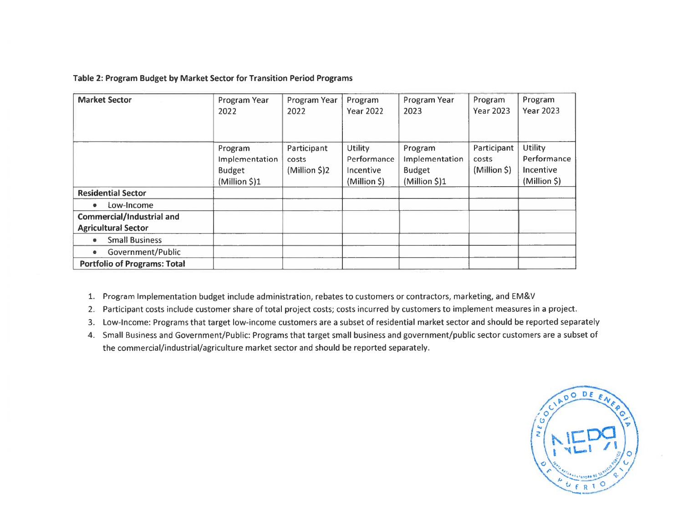#### Table 2: Program Budget by Market Sector for Transition Period Programs

| <b>Market Sector</b>                                           | Program Year<br>2022                                        | Program Year<br>2022                  | Program<br><b>Year 2022</b>                               | Program Year<br>2023                                        | Program<br><b>Year 2023</b>          | Program<br><b>Year 2023</b>                                |
|----------------------------------------------------------------|-------------------------------------------------------------|---------------------------------------|-----------------------------------------------------------|-------------------------------------------------------------|--------------------------------------|------------------------------------------------------------|
|                                                                | Program<br>Implementation<br><b>Budget</b><br>(Million \$)1 | Participant<br>costs<br>(Million \$)2 | <b>Utility</b><br>Performance<br>Incentive<br>(Million S) | Program<br>Implementation<br><b>Budget</b><br>(Million \$)1 | Participant<br>costs<br>(Million \$) | <b>Utility</b><br>Performance<br>Incentive<br>(Million \$) |
| <b>Residential Sector</b>                                      |                                                             |                                       |                                                           |                                                             |                                      |                                                            |
| Low-Income<br>۰                                                |                                                             |                                       |                                                           |                                                             |                                      |                                                            |
| <b>Commercial/Industrial and</b><br><b>Agricultural Sector</b> |                                                             |                                       |                                                           |                                                             |                                      |                                                            |
| <b>Small Business</b><br>$\bullet$                             |                                                             |                                       |                                                           |                                                             |                                      |                                                            |
| Government/Public<br>٠                                         |                                                             |                                       |                                                           |                                                             |                                      |                                                            |
| <b>Portfolio of Programs: Total</b>                            |                                                             |                                       |                                                           |                                                             |                                      |                                                            |

1. Program Implementation budget include administration, rebates to customers or contractors, marketing, and EM&V

- 2. Participant costs include customer share of total project costs; costs incurred by customers to implement measures in <sup>a</sup> project.
- 3. Low-Income: Programs that target low-income customers are <sup>a</sup> subset of residential market sector and should be reported separately
- 4. Small Business and Government/Public: Programs that target small business and government/public sector customers are <sup>a</sup> subset of the commercial/industrial/agriculture market sector and should be reported separately.

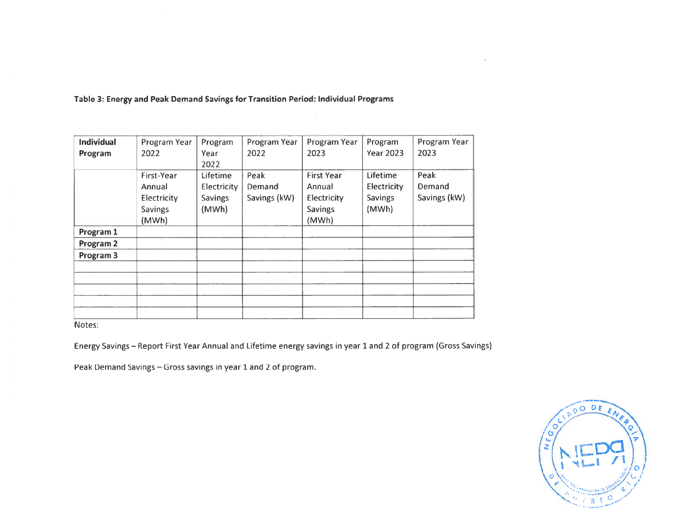| <b>Individual</b> | Program Year   | Program         | Program Year | Program Year      | Program          | Program Year |
|-------------------|----------------|-----------------|--------------|-------------------|------------------|--------------|
| Program           | 2022           | Year            | 2022         | 2023              | <b>Year 2023</b> | 2023         |
|                   |                | 2022            |              |                   |                  |              |
|                   | First-Year     | <b>Lifetime</b> | Peak         | <b>First Year</b> | <b>Lifetime</b>  | Peak         |
|                   | Annual         | Electricity     | Demand       | Annual            | Electricity      | Demand       |
|                   | Electricity    | <b>Savings</b>  | Savings (kW) | Electricity       | <b>Savings</b>   | Savings (kW) |
|                   | <b>Savings</b> | (MWh)           |              | <b>Savings</b>    | (MWh)            |              |
|                   | (MWh)          |                 |              | (MWh)             |                  |              |
| Program 1         |                |                 |              |                   |                  |              |
| Program 2         |                |                 |              |                   |                  |              |
| Program 3         |                |                 |              |                   |                  |              |
|                   |                |                 |              |                   |                  |              |
|                   |                |                 |              |                   |                  |              |
|                   |                |                 |              |                   |                  |              |
|                   |                |                 |              |                   |                  |              |
|                   |                |                 |              |                   |                  |              |

Table 3: Energy and Peak Demand Savings for Transition Period: Individual Programs

Notes:

Energy Savings — Report First Year Annual and Lifetime energy savings in year 1 and 2 of program (Gross Savings)

Peak Demand Savings – Gross savings in year 1 and 2 of program

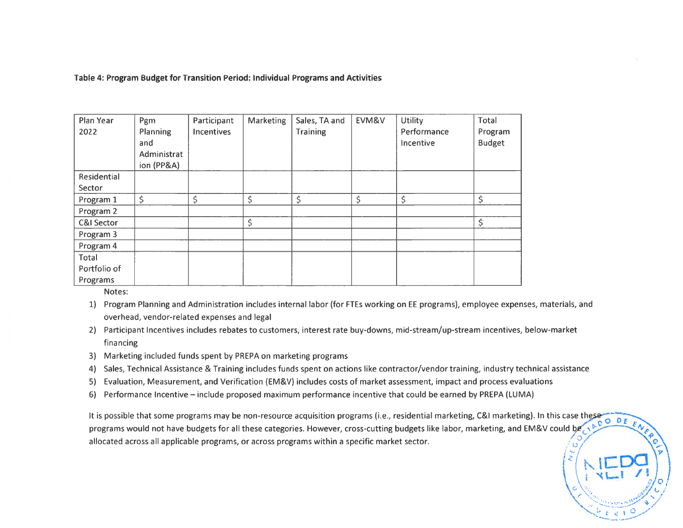Table 4: Program Budget for Transition Period: Individual Programs and Activities

| Plan Year<br>2022     | Pgm<br><b>Planning</b><br>and<br>Administrat<br>ion (PP&A) | Participant<br><b>Incentives</b> | Marketing | Sales, TA and<br><b>Training</b> | EVM&V | <b>Utility</b><br>Performance<br>Incentive | Total<br>Program<br><b>Budget</b> |
|-----------------------|------------------------------------------------------------|----------------------------------|-----------|----------------------------------|-------|--------------------------------------------|-----------------------------------|
| Residential           |                                                            |                                  |           |                                  |       |                                            |                                   |
| Sector                |                                                            |                                  |           |                                  |       |                                            |                                   |
| Program 1             | \$                                                         | \$                               | \$        | \$                               | \$    | \$                                         | \$                                |
| Program 2             |                                                            |                                  |           |                                  |       |                                            |                                   |
| <b>C&amp;I Sector</b> |                                                            |                                  | \$        |                                  |       |                                            | \$                                |
| Program 3             |                                                            |                                  |           |                                  |       |                                            |                                   |
| Program 4             |                                                            |                                  |           |                                  |       |                                            |                                   |
| Total                 |                                                            |                                  |           |                                  |       |                                            |                                   |
| Portfolio of          |                                                            |                                  |           |                                  |       |                                            |                                   |
| Programs              |                                                            |                                  |           |                                  |       |                                            |                                   |

Notes:

- 1) Program Planning and Administration includes internal labor (for FTEs working on EE programs), employee expenses, materials, and overhead, vendor-related expenses and legal
- 2) Participant Incentives includes rebates to customers, interest rate buy-downs, mid-stream/up-stream incentives, below-market financing
- 3) Marketing included funds spen<sup>t</sup> by PREPA on marketing programs
- 4) Sales, Technical Assistance & Training includes funds spen<sup>t</sup> on actions like contractor/vendor training, industry technical assistance
- 5) Evaluation, Measurement, and Verification (EM&V) includes costs of market assessment, impact and process evaluations
- 6) Performance Incentive include proposed maximum performance incentive that could be earned by PREPA (LUMA)

It is possible that some programs may be non-resource acquisition programs (i.e., residential marketing, C&I marketing). In this case these programs would not have budgets for all these categories. However, cross-cutting budgets like labor, marketing, and EM&V could be allocated across all applicable programs, or across programs within <sup>a</sup> specific market sector. \,\\